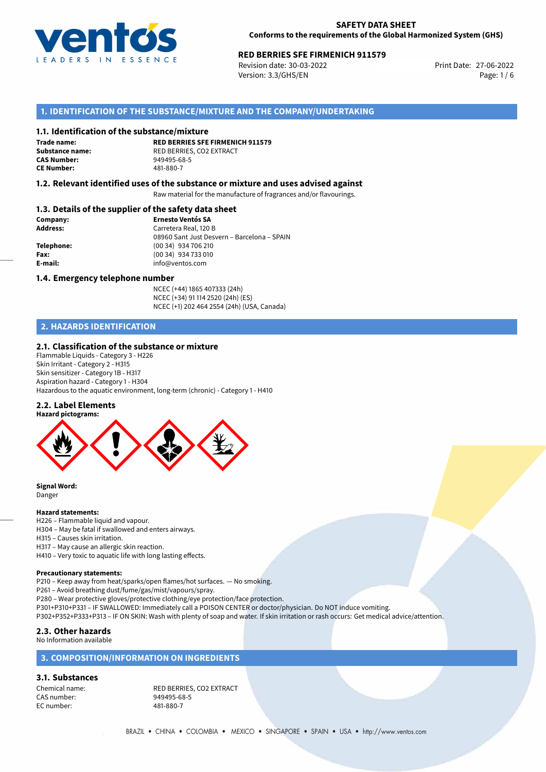

# **RED BERRIES SFE FIRMENICH 911579**<br>
Revision date: 30-03-2022<br>
Print Date: 27-06-2022

Revision date: 30-03-2022 Version: 3.3/GHS/EN Page: 1 / 6

# **1. IDENTIFICATION OF THE SUBSTANCE/MIXTURE AND THE COMPANY/UNDERTAKING**

### **1.1. Identification of the substance/mixture**

**Trade name: CE Number:** 481-880-7

**RED BERRIES SFE FIRMENICH 911579 Substance name:** RED BERRIES, CO2 EXTRACT<br> **CAS Number:** 949495-68-5 **CAS Number:** 949495-68-5

### **1.2. Relevant identified uses of the substance or mixture and uses advised against**

Raw material for the manufacture of fragrances and/or flavourings.

### **1.3. Details of the supplier of the safety data sheet**

| Company:        | <b>Ernesto Ventós SA</b>                    |
|-----------------|---------------------------------------------|
| <b>Address:</b> | Carretera Real, 120 B                       |
|                 | 08960 Sant Just Desvern - Barcelona - SPAIN |
| Telephone:      | (00 34) 934 706 210                         |
| Fax:            | (00 34) 934 733 010                         |
| E-mail:         | info@ventos.com                             |
|                 |                                             |

### **1.4. Emergency telephone number**

NCEC (+44) 1865 407333 (24h) NCEC (+34) 91 114 2520 (24h) (ES) NCEC (+1) 202 464 2554 (24h) (USA, Canada)

# **2. HAZARDS IDENTIFICATION**

### **2.1. Classification of the substance or mixture**

Flammable Liquids - Category 3 - H226 Skin Irritant - Category 2 - H315 Skin sensitizer - Category 1B - H317 Aspiration hazard - Category 1 - H304 Hazardous to the aquatic environment, long-term (chronic) - Category 1 - H410

### **2.2. Label Elements**



**Signal Word:** Danger

# **Hazard statements:**

- H226 Flammable liquid and vapour.
- H304 May be fatal if swallowed and enters airways.
- H315 Causes skin irritation.
- H317 May cause an allergic skin reaction.
- H410 Very toxic to aquatic life with long lasting effects.

### **Precautionary statements:**

P210 – Keep away from heat/sparks/open flames/hot surfaces. — No smoking.

- P261 Avoid breathing dust/fume/gas/mist/vapours/spray.
- P280 Wear protective gloves/protective clothing/eye protection/face protection.
- P301+P310+P331 IF SWALLOWED: Immediately call a POISON CENTER or doctor/physician. Do NOT induce vomiting.
- P302+P352+P333+P313 IF ON SKIN: Wash with plenty of soap and water. If skin irritation or rash occurs: Get medical advice/attention.

# **2.3. Other hazards**

No Information available

# **3. COMPOSITION/INFORMATION ON INGREDIENTS**

# **3.1. Substances**

CAS number: EC number: 481-880-7

Chemical name: RED BERRIES, CO2 EXTRACT<br>
CAS number: 949495-68-5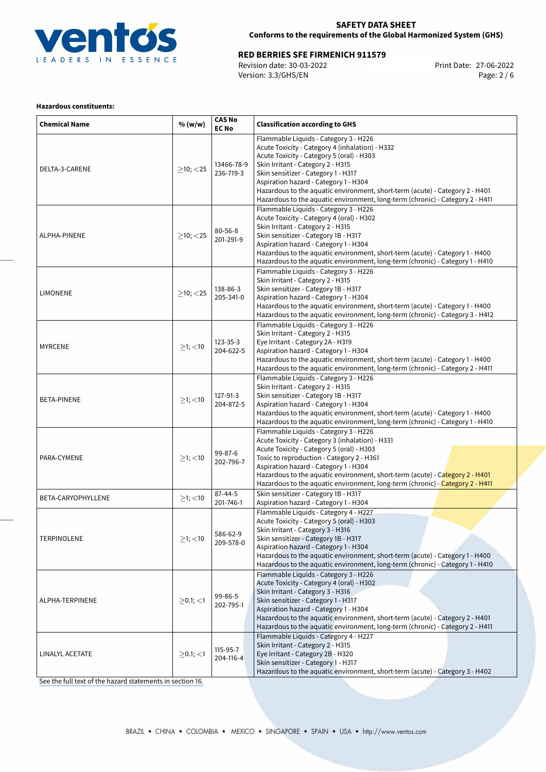

**RED BERRIES SFE FIRMENICH 911579**<br>
Revision date: 30-03-2022<br>
Version: 3.3/GHS/EN Page: 2/6 Revision date: 30-03-2022 Version: 3.3/GHS/EN

### **Hazardous constituents:**

| <b>Chemical Name</b> | % (w/w)           | <b>CAS No</b><br><b>EC No</b> | <b>Classification according to GHS</b>                                                                                                                                                                                                                                                                                                                                                                                      |  |
|----------------------|-------------------|-------------------------------|-----------------------------------------------------------------------------------------------------------------------------------------------------------------------------------------------------------------------------------------------------------------------------------------------------------------------------------------------------------------------------------------------------------------------------|--|
| DELTA-3-CARENE       | $>10$ ; < 25      | 13466-78-9<br>236-719-3       | Flammable Liquids - Category 3 - H226<br>Acute Toxicity - Category 4 (inhalation) - H332<br>Acute Toxicity - Category 5 (oral) - H303<br>Skin Irritant - Category 2 - H315<br>Skin sensitizer - Category 1 - H317<br>Aspiration hazard - Category 1 - H304<br>Hazardous to the aquatic environment, short-term (acute) - Category 2 - H401<br>Hazardous to the aquatic environment, long-term (chronic) - Category 2 - H411 |  |
| ALPHA-PINENE         | $>10$ ; $<$ 25    | $80 - 56 - 8$<br>201-291-9    | Flammable Liquids - Category 3 - H226<br>Acute Toxicity - Category 4 (oral) - H302<br>Skin Irritant - Category 2 - H315<br>Skin sensitizer - Category 1B - H317<br>Aspiration hazard - Category 1 - H304<br>Hazardous to the aquatic environment, short-term (acute) - Category 1 - H400<br>Hazardous to the aquatic environment, long-term (chronic) - Category 1 - H410                                                   |  |
| <b>LIMONENE</b>      | $>10$ ; $<$ 25    | 138-86-3<br>205-341-0         | Flammable Liquids - Category 3 - H226<br>Skin Irritant - Category 2 - H315<br>Skin sensitizer - Category 1B - H317<br>Aspiration hazard - Category 1 - H304<br>Hazardous to the aquatic environment, short-term (acute) - Category 1 - H400<br>Hazardous to the aquatic environment, long-term (chronic) - Category 3 - H412                                                                                                |  |
| <b>MYRCENE</b>       | $\geq$ 1; <10     | 123-35-3<br>204-622-5         | Flammable Liquids - Category 3 - H226<br>Skin Irritant - Category 2 - H315<br>Eye Irritant - Category 2A - H319<br>Aspiration hazard - Category 1 - H304<br>Hazardous to the aquatic environment, short-term (acute) - Category 1 - H400<br>Hazardous to the aquatic environment, long-term (chronic) - Category 2 - H411                                                                                                   |  |
| <b>BETA-PINENE</b>   | $\geq$ 1; <10     | 127-91-3<br>204-872-5         | Flammable Liquids - Category 3 - H226<br>Skin Irritant - Category 2 - H315<br>Skin sensitizer - Category 1B - H317<br>Aspiration hazard - Category 1 - H304<br>Hazardous to the aquatic environment, short-term (acute) - Category 1 - H400<br>Hazardous to the aquatic environment, long-term (chronic) - Category 1 - H410                                                                                                |  |
| PARA-CYMENE          | $\geq$ 1; <10     | 99-87-6<br>202-796-7          | Flammable Liquids - Category 3 - H226<br>Acute Toxicity - Category 3 (inhalation) - H331<br>Acute Toxicity - Category 5 (oral) - H303<br>Toxic to reproduction - Category 2 - H361<br>Aspiration hazard - Category 1 - H304<br>Hazardous to the aquatic environment, short-term (acute) - Category 2 - H401<br>Hazardous to the aquatic environment, long-term (chronic) - Category 2 - H411                                |  |
| BETA-CARYOPHYLLENE   | $\geq$ 1; <10     | $87 - 44 - 5$<br>201-746-1    | Skin sensitizer - Category 1B - H317<br>Aspiration hazard - Category 1 - H304                                                                                                                                                                                                                                                                                                                                               |  |
| TERPINOLENE          | $\geq$ 1; <10     | 586-62-9<br>209-578-0         | Flammable Liquids - Category 4 - H227<br>Acute Toxicity - Category 5 (oral) - H303<br>Skin Irritant - Category 3 - H316<br>Skin sensitizer - Category 1B - H317<br>Aspiration hazard - Category 1 - H304<br>Hazardous to the aquatic environment, short-term (acute) - Category 1 - H400<br>Hazardous to the aquatic environment, long-term (chronic) - Category 1 - H410                                                   |  |
| ALPHA-TERPINENE      | $>0.1$ ; $<$ 1    | 99-86-5<br>202-795-1          | Flammable Liquids - Category 3 - H226<br>Acute Toxicity - Category 4 (oral) - H302<br>Skin Irritant - Category 3 - H316<br>Skin sensitizer - Category 1 - H317<br>Aspiration hazard - Category 1 - H304<br>Hazardous to the aquatic environment, short-term (acute) - Category 2 - H401<br>Hazardous to the aquatic environment, long-term (chronic) - Category 2 - H411                                                    |  |
| LINALYL ACETATE      | $\geq$ 0.1; $<$ 1 | 115-95-7<br>204-116-4         | Flammable Liquids - Category 4 - H227<br>Skin Irritant - Category 2 - H315<br>Eye Irritant - Category 2B - H320<br>Skin sensitizer - Category 1 - H317<br>Hazardous to the aquatic environment, short-term (acute) - Category 3 - H402                                                                                                                                                                                      |  |

[See the full text of the hazard statements in section 16.](#page-5-0)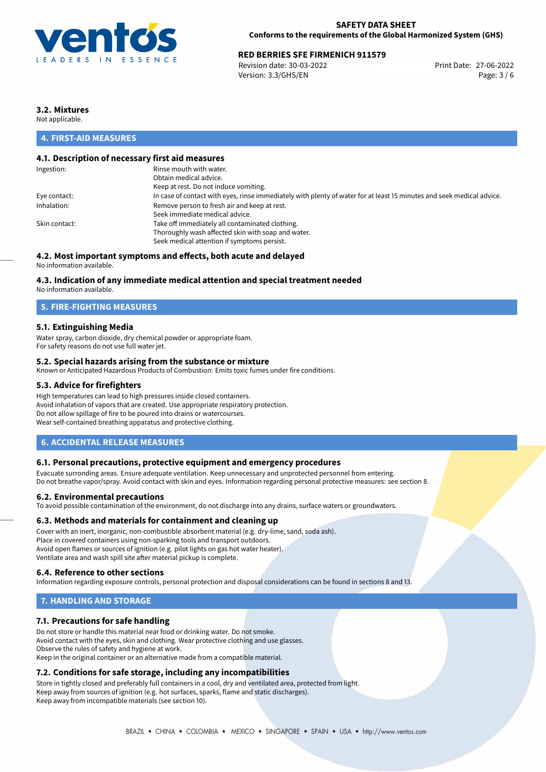

# **RED BERRIES SFE FIRMENICH 911579**<br>
Revision date: 30-03-2022<br> **Print Date: 27-06-2022**

Revision date: 30-03-2022 Version: 3.3/GHS/EN Page: 3 / 6

# **3.2. Mixtures**

Not applicable.

# **4. FIRST-AID MEASURES**

### **4.1. Description of necessary first aid measures**

| Ingestion:    | Rinse mouth with water.                                                                                               |
|---------------|-----------------------------------------------------------------------------------------------------------------------|
|               | Obtain medical advice.                                                                                                |
|               | Keep at rest. Do not induce vomiting.                                                                                 |
| Eye contact:  | In case of contact with eyes, rinse immediately with plenty of water for at least 15 minutes and seek medical advice. |
| Inhalation:   | Remove person to fresh air and keep at rest.                                                                          |
|               | Seek immediate medical advice.                                                                                        |
| Skin contact: | Take off immediately all contaminated clothing.                                                                       |
|               | Thoroughly wash affected skin with soap and water.                                                                    |
|               | Seek medical attention if symptoms persist.                                                                           |
|               |                                                                                                                       |

# **4.2. Most important symptoms and effects, both acute and delayed**

No information available.

### **4.3. Indication of any immediate medical attention and special treatment needed**

No information available.

### **5. FIRE-FIGHTING MEASURES**

### **5.1. Extinguishing Media**

Water spray, carbon dioxide, dry chemical powder or appropriate foam. For safety reasons do not use full water jet.

### **5.2. Special hazards arising from the substance or mixture**

Known or Anticipated Hazardous Products of Combustion: Emits toxic fumes under fire conditions.

### **5.3. Advice for firefighters**

High temperatures can lead to high pressures inside closed containers. Avoid inhalation of vapors that are created. Use appropriate respiratory protection. Do not allow spillage of fire to be poured into drains or watercourses. Wear self-contained breathing apparatus and protective clothing.

### **6. ACCIDENTAL RELEASE MEASURES**

### **6.1. Personal precautions, protective equipment and emergency procedures**

Evacuate surronding areas. Ensure adequate ventilation. Keep unnecessary and unprotected personnel from entering. Do not breathe vapor/spray. Avoid contact with skin and eyes. Information regarding personal protective measures: see section 8.

### **6.2. Environmental precautions**

To avoid possible contamination of the environment, do not discharge into any drains, surface waters or groundwaters.

### **6.3. Methods and materials for containment and cleaning up**

Cover with an inert, inorganic, non-combustible absorbent material (e.g. dry-lime, sand, soda ash). Place in covered containers using non-sparking tools and transport outdoors. Avoid open flames or sources of ignition (e.g. pilot lights on gas hot water heater). Ventilate area and wash spill site after material pickup is complete.

### **6.4. Reference to other sections**

Information regarding exposure controls, personal protection and disposal considerations can be found in sections 8 and 13.

### **7. HANDLING AND STORAGE**

### **7.1. Precautions for safe handling**

Do not store or handle this material near food or drinking water. Do not smoke. Avoid contact with the eyes, skin and clothing. Wear protective clothing and use glasses. Observe the rules of safety and hygiene at work. Keep in the original container or an alternative made from a compatible material.

# **7.2. Conditions for safe storage, including any incompatibilities**

Store in tightly closed and preferably full containers in a cool, dry and ventilated area, protected from light. Keep away from sources of ignition (e.g. hot surfaces, sparks, flame and static discharges). Keep away from incompatible materials (see section 10).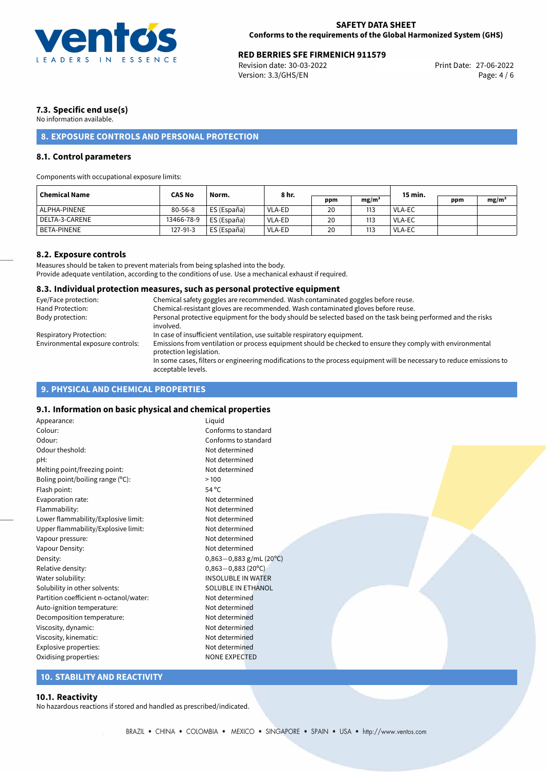

# **RED BERRIES SFE FIRMENICH 911579**<br>Revision date: 30-03-2022 **Revision date: 37-06-2022**

Revision date: 30-03-2022 Version: 3.3/GHS/EN Page: 4 / 6

# **7.3. Specific end use(s)**

No information available.

# **8. EXPOSURE CONTROLS AND PERSONAL PROTECTION**

### **8.1. Control parameters**

Components with occupational exposure limits:

| <b>Chemical Name</b> | <b>CAS No</b> | Norm.         | 8 hr.  |     |                   | 15 min. |     |          |
|----------------------|---------------|---------------|--------|-----|-------------------|---------|-----|----------|
|                      |               |               |        | ppm | mg/m <sup>3</sup> |         | ppm | $mg/m^3$ |
| ALPHA-PINENE         | $80 - 56 - 8$ | ' ES (España) | VLA-ED | 20  | 113               | VLA-EC  |     |          |
| l DELTA-3-CARENE     | 13466-78-9    | ES (España)   | VLA-ED | 20  | 113               | VLA-EC  |     |          |
| <b>BETA-PINENE</b>   | 127-91-3      | ES (España)   | VLA-ED | 20  | 113               | VLA-EC  |     |          |

### **8.2. Exposure controls**

Measures should be taken to prevent materials from being splashed into the body. Provide adequate ventilation, according to the conditions of use. Use a mechanical exhaust if required.

### **8.3. Individual protection measures, such as personal protective equipment**

| Eye/Face protection:             | Chemical safety goggles are recommended. Wash contaminated goggles before reuse.                                                            |
|----------------------------------|---------------------------------------------------------------------------------------------------------------------------------------------|
| Hand Protection:                 | Chemical-resistant gloves are recommended. Wash contaminated gloves before reuse.                                                           |
| Body protection:                 | Personal protective equipment for the body should be selected based on the task being performed and the risks<br>involved.                  |
| Respiratory Protection:          | In case of insufficient ventilation, use suitable respiratory equipment.                                                                    |
| Environmental exposure controls: | Emissions from ventilation or process equipment should be checked to ensure they comply with environmental<br>protection legislation.       |
|                                  | In some cases, filters or engineering modifications to the process equipment will be necessary to reduce emissions to<br>acceptable levels. |

# **9. PHYSICAL AND CHEMICAL PROPERTIES**

# **9.1. Information on basic physical and chemical properties**

| siii midrimaadii dii basic pirjsicat and chemicat properates |                           |  |
|--------------------------------------------------------------|---------------------------|--|
| Appearance:                                                  | Liquid                    |  |
| Colour:                                                      | Conforms to standard      |  |
| Odour:                                                       | Conforms to standard      |  |
| Odour theshold:                                              | Not determined            |  |
| pH:                                                          | Not determined            |  |
| Melting point/freezing point:                                | Not determined            |  |
| Boling point/boiling range (°C):                             | >100                      |  |
| Flash point:                                                 | $54^{\circ}$ C            |  |
| Evaporation rate:                                            | Not determined            |  |
| Flammability:                                                | Not determined            |  |
| Lower flammability/Explosive limit:                          | Not determined            |  |
| Upper flammability/Explosive limit:                          | Not determined            |  |
| Vapour pressure:                                             | Not determined            |  |
| Vapour Density:                                              | Not determined            |  |
| Density:                                                     | $0,863-0,883$ g/mL (20°C) |  |
| Relative density:                                            | $0,863 - 0,883$ (20°C)    |  |
| Water solubility:                                            | <b>INSOLUBLE IN WATER</b> |  |
| Solubility in other solvents:                                | SOLUBLE IN ETHANOL        |  |
| Partition coefficient n-octanol/water:                       | Not determined            |  |
| Auto-ignition temperature:                                   | Not determined            |  |
| Decomposition temperature:                                   | Not determined            |  |
| Viscosity, dynamic:                                          | Not determined            |  |
| Viscosity, kinematic:                                        | Not determined            |  |
| Explosive properties:                                        | Not determined            |  |
| Oxidising properties:                                        | <b>NONE EXPECTED</b>      |  |
|                                                              |                           |  |

# **10. STABILITY AND REACTIVITY**

#### **10.1. Reactivity**

No hazardous reactions if stored and handled as prescribed/indicated.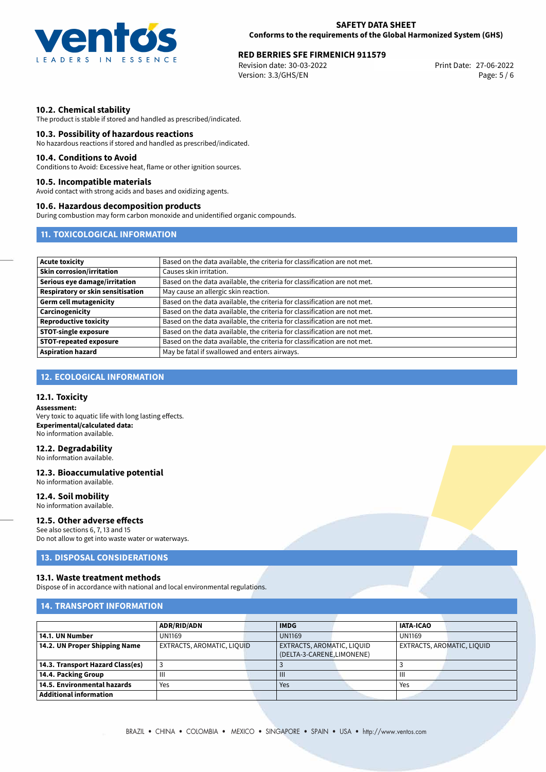

# **RED BERRIES SFE FIRMENICH 911579**<br>
Revision date: 30-03-2022<br>
Print Date: 27-06-2022

Revision date: 30-03-2022 Version: 3.3/GHS/EN Page: 5 / 6

### **10.2. Chemical stability**

The product is stable if stored and handled as prescribed/indicated.

### **10.3. Possibility of hazardous reactions**

No hazardous reactions if stored and handled as prescribed/indicated.

#### **10.4. Conditions to Avoid**

Conditions to Avoid: Excessive heat, flame or other ignition sources.

### **10.5. Incompatible materials**

Avoid contact with strong acids and bases and oxidizing agents.

### **10.6. Hazardous decomposition products**

During combustion may form carbon monoxide and unidentified organic compounds.

# **11. TOXICOLOGICAL INFORMATION**

| <b>Acute toxicity</b>                    | Based on the data available, the criteria for classification are not met. |
|------------------------------------------|---------------------------------------------------------------------------|
| <b>Skin corrosion/irritation</b>         | Causes skin irritation.                                                   |
| Serious eye damage/irritation            | Based on the data available, the criteria for classification are not met. |
| <b>Respiratory or skin sensitisation</b> | May cause an allergic skin reaction.                                      |
| <b>Germ cell mutagenicity</b>            | Based on the data available, the criteria for classification are not met. |
| Carcinogenicity                          | Based on the data available, the criteria for classification are not met. |
| <b>Reproductive toxicity</b>             | Based on the data available, the criteria for classification are not met. |
| <b>STOT-single exposure</b>              | Based on the data available, the criteria for classification are not met. |
| <b>STOT-repeated exposure</b>            | Based on the data available, the criteria for classification are not met. |
| <b>Aspiration hazard</b>                 | May be fatal if swallowed and enters airways.                             |

# **12. ECOLOGICAL INFORMATION**

# **12.1. Toxicity**

**Assessment:** Very toxic to aquatic life with long lasting effects. **Experimental/calculated data:** No information available.

### **12.2. Degradability**

No information available.

# **12.3. Bioaccumulative potential**

No information available. **12.4. Soil mobility**

# No information available.

### **12.5. Other adverse effects**

See also sections 6, 7, 13 and 15 Do not allow to get into waste water or waterways.

### **13. DISPOSAL CONSIDERATIONS**

### **13.1. Waste treatment methods**

Dispose of in accordance with national and local environmental regulations.

# **14. TRANSPORT INFORMATION**

|                                  | <b>ADR/RID/ADN</b>         | <b>IMDG</b>                | <b>IATA-ICAO</b>           |
|----------------------------------|----------------------------|----------------------------|----------------------------|
| 14.1. UN Number                  | <b>UN1169</b>              | <b>UN1169</b>              | <b>UN1169</b>              |
| 14.2. UN Proper Shipping Name    | EXTRACTS, AROMATIC, LIQUID | EXTRACTS, AROMATIC, LIQUID | EXTRACTS, AROMATIC, LIQUID |
|                                  |                            | (DELTA-3-CARENE,LIMONENE)  |                            |
| 14.3. Transport Hazard Class(es) |                            |                            |                            |
| 14.4. Packing Group              |                            | $\mathbf{III}$             | Ш                          |
| 14.5. Environmental hazards      | Yes                        | Yes                        | Yes                        |
| <b>Additional information</b>    |                            |                            |                            |